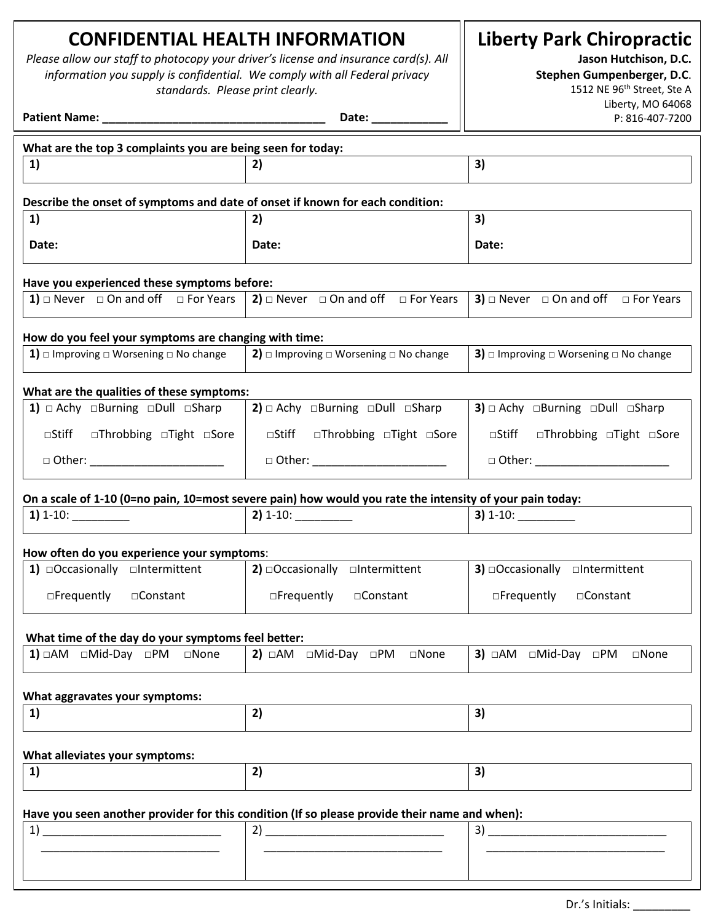# **CONFIDENTIAL HEALTH INFORMATION**

*Please allow our staff to photocopy your driver's license and insurance card(s). All information you supply is confidential. We comply with all Federal privacy standards. Please print clearly.*

**Liberty Park Chiropractic**

**Jason Hutchison, D.C.** 

**Stephen Gumpenberger, D.C**.

| standards. Please print clearly.                                                                        | 1512 NE 96 <sup>th</sup> Street, Ste A                                                                   |                                                              |  |  |
|---------------------------------------------------------------------------------------------------------|----------------------------------------------------------------------------------------------------------|--------------------------------------------------------------|--|--|
|                                                                                                         |                                                                                                          | Liberty, MO 64068<br>P: 816-407-7200                         |  |  |
| What are the top 3 complaints you are being seen for today:                                             |                                                                                                          |                                                              |  |  |
| 1)                                                                                                      | 2)                                                                                                       | 3)                                                           |  |  |
| Describe the onset of symptoms and date of onset if known for each condition:                           |                                                                                                          |                                                              |  |  |
| 1)                                                                                                      | 2)                                                                                                       | 3)                                                           |  |  |
| Date:                                                                                                   | Date:                                                                                                    | Date:                                                        |  |  |
| Have you experienced these symptoms before:                                                             |                                                                                                          |                                                              |  |  |
| 1) $\Box$ Never $\Box$ On and off $\Box$ For Years   2) $\Box$ Never $\Box$ On and off $\Box$ For Years |                                                                                                          | <b>3)</b> $\Box$ Never $\Box$ On and off $\Box$ For Years    |  |  |
| How do you feel your symptoms are changing with time:                                                   |                                                                                                          |                                                              |  |  |
| <b>1)</b> $\Box$ Improving $\Box$ Worsening $\Box$ No change                                            | <b>2)</b> $\Box$ Improving $\Box$ Worsening $\Box$ No change                                             | <b>3)</b> $\Box$ Improving $\Box$ Worsening $\Box$ No change |  |  |
| What are the qualities of these symptoms:                                                               |                                                                                                          |                                                              |  |  |
| 1) $\Box$ Achy $\Box$ Burning $\Box$ Dull $\Box$ Sharp                                                  | <b>2)</b> $\Box$ Achy $\Box$ Burning $\Box$ Dull $\Box$ Sharp                                            | 3) $\Box$ Achy $\Box$ Burning $\Box$ Dull $\Box$ Sharp       |  |  |
| $\Box$ Stiff<br>□Throbbing □Tight □Sore                                                                 | <b>□Stiff □Throbbing □Tight □Sore</b>                                                                    | □Stiff<br>□Throbbing □Tight □Sore                            |  |  |
| $\Box$ Other:                                                                                           | $\Box$ Other: $\Box$                                                                                     | $\Box$ Other: $\Box$                                         |  |  |
|                                                                                                         | On a scale of 1-10 (0=no pain, 10=most severe pain) how would you rate the intensity of your pain today: |                                                              |  |  |
| $1) 1-10:$                                                                                              | $2) 1-10:$                                                                                               | $3) 1-10:$                                                   |  |  |
| How often do you experience your symptoms:                                                              |                                                                                                          |                                                              |  |  |
| 1) $\Box$ Occasionally $\Box$ Intermittent                                                              | <b>2)</b> $\Box$ Occasionally $\Box$ Intermittent                                                        | <b>3)</b> $\Box$ Occasionally $\Box$ Intermittent            |  |  |
| $\Box$ Frequently<br>□Constant                                                                          | $\Box$ Frequently<br>□Constant                                                                           | $\Box$ Frequently<br>□Constant                               |  |  |
| What time of the day do your symptoms feel better:                                                      |                                                                                                          |                                                              |  |  |
| 1) DAM DMid-Day DPM DNone                                                                               |                                                                                                          | 3) □AM □Mid-Day □PM<br>$\square$ None                        |  |  |
|                                                                                                         |                                                                                                          |                                                              |  |  |
| What aggravates your symptoms:<br>1)                                                                    | 2)                                                                                                       | 3)                                                           |  |  |
|                                                                                                         |                                                                                                          |                                                              |  |  |
| What alleviates your symptoms:                                                                          |                                                                                                          |                                                              |  |  |
| 1)                                                                                                      | 2)                                                                                                       | 3)                                                           |  |  |
|                                                                                                         | Have you seen another provider for this condition (If so please provide their name and when):            |                                                              |  |  |
| 1)                                                                                                      |                                                                                                          |                                                              |  |  |
|                                                                                                         |                                                                                                          |                                                              |  |  |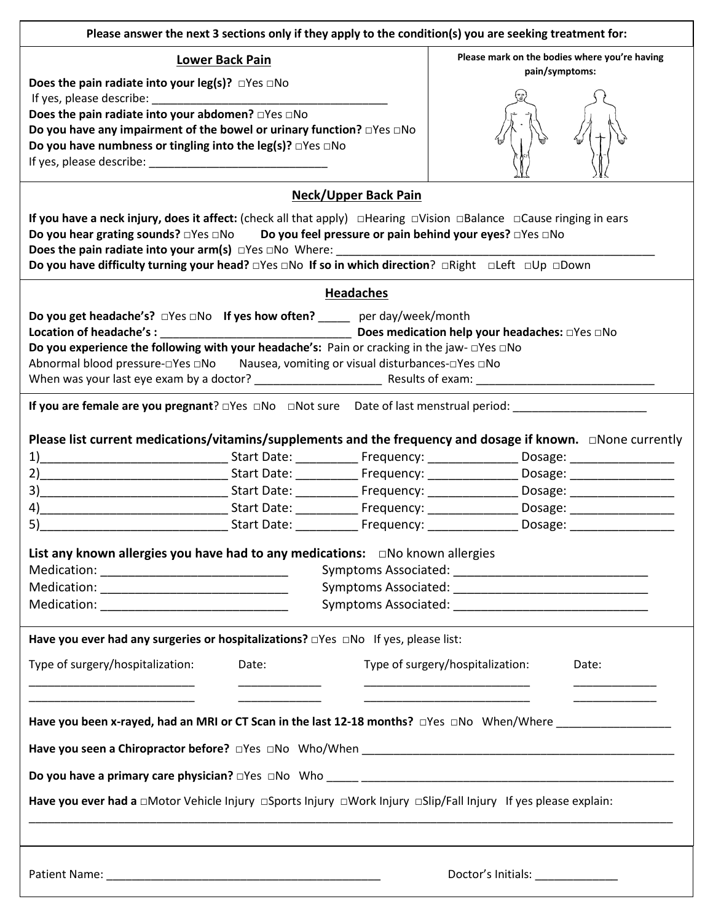| Please answer the next 3 sections only if they apply to the condition(s) you are seeking treatment for:                                                                                                                             |                                               |
|-------------------------------------------------------------------------------------------------------------------------------------------------------------------------------------------------------------------------------------|-----------------------------------------------|
| <b>Lower Back Pain</b>                                                                                                                                                                                                              | Please mark on the bodies where you're having |
| Does the pain radiate into your leg(s)? $\Box$ Yes $\Box$ No                                                                                                                                                                        | pain/symptoms:                                |
| If yes, please describe: If yes, please describe:                                                                                                                                                                                   |                                               |
| Does the pain radiate into your abdomen? □Yes □No                                                                                                                                                                                   |                                               |
| Do you have any impairment of the bowel or urinary function? $\square$ Yes $\square$ No                                                                                                                                             |                                               |
| Do you have numbness or tingling into the leg(s)? $\Box$ Yes $\Box$ No                                                                                                                                                              |                                               |
|                                                                                                                                                                                                                                     |                                               |
| <b>Neck/Upper Back Pain</b>                                                                                                                                                                                                         |                                               |
| If you have a neck injury, does it affect: (check all that apply) $\Box$ Hearing $\Box$ Vision $\Box$ Balance $\Box$ Cause ringing in ears                                                                                          |                                               |
| Do you hear grating sounds? □Yes □No Do you feel pressure or pain behind your eyes? □Yes □No                                                                                                                                        |                                               |
| Does the pain radiate into your $arm(s)$ $\Box$ Yes $\Box$ No Where:<br>Do you have difficulty turning your head? □Yes □No If so in which direction? □Right □Left □Up □Down                                                         |                                               |
| <b>Headaches</b>                                                                                                                                                                                                                    |                                               |
| Do you get headache's? □Yes □No If yes how often? _____ per day/week/month                                                                                                                                                          |                                               |
|                                                                                                                                                                                                                                     |                                               |
| Do you experience the following with your headache's: Pain or cracking in the jaw- $\square$ Yes $\square$ No                                                                                                                       |                                               |
| Abnormal blood pressure-oYes oNo Nausea, vomiting or visual disturbances-oYes oNo                                                                                                                                                   |                                               |
|                                                                                                                                                                                                                                     |                                               |
|                                                                                                                                                                                                                                     |                                               |
|                                                                                                                                                                                                                                     |                                               |
| Please list current medications/vitamins/supplements and the frequency and dosage if known. $\Box$ None currently                                                                                                                   |                                               |
|                                                                                                                                                                                                                                     |                                               |
|                                                                                                                                                                                                                                     |                                               |
| 4) <b>Example 20 Inc. 1. Inc. 2018</b> Start Date: Contract Prequency: Cosage: Consider the Dosage: Constantinent Constantinent Constantinent Constantinent Constantinent Constantinent Constantinent Constantinent Constantinent C |                                               |
| and the Start Date: The Prequency: The Cosage: Contract of the Cosage of the Start Date: The Cosage of the Cos                                                                                                                      |                                               |
|                                                                                                                                                                                                                                     |                                               |
| List any known allergies you have had to any medications: DNo known allergies                                                                                                                                                       |                                               |
|                                                                                                                                                                                                                                     |                                               |
|                                                                                                                                                                                                                                     |                                               |
|                                                                                                                                                                                                                                     |                                               |
| Have you ever had any surgeries or hospitalizations? <b>DYes DNo If yes, please list:</b>                                                                                                                                           |                                               |
| Type of surgery/hospitalization:<br>Date:                                                                                                                                                                                           | Type of surgery/hospitalization:<br>Date:     |
|                                                                                                                                                                                                                                     |                                               |
|                                                                                                                                                                                                                                     |                                               |
| Have you been x-rayed, had an MRI or CT Scan in the last 12-18 months? DYes DNo When/Where ________________                                                                                                                         |                                               |
|                                                                                                                                                                                                                                     |                                               |
|                                                                                                                                                                                                                                     |                                               |
| Have you ever had a □Motor Vehicle Injury □Sports Injury □Work Injury □Slip/Fall Injury If yes please explain:                                                                                                                      |                                               |
|                                                                                                                                                                                                                                     |                                               |
|                                                                                                                                                                                                                                     |                                               |
|                                                                                                                                                                                                                                     |                                               |
|                                                                                                                                                                                                                                     | Doctor's Initials: ____________               |
| ,我们也不会有什么。""我们的人,我们也不会有什么?""我们的人,我们也不会有什么?""我们的人,我们的人,我们的人,我们的人,我们的人,我们的人,我们的人,我                                                                                                                                                    |                                               |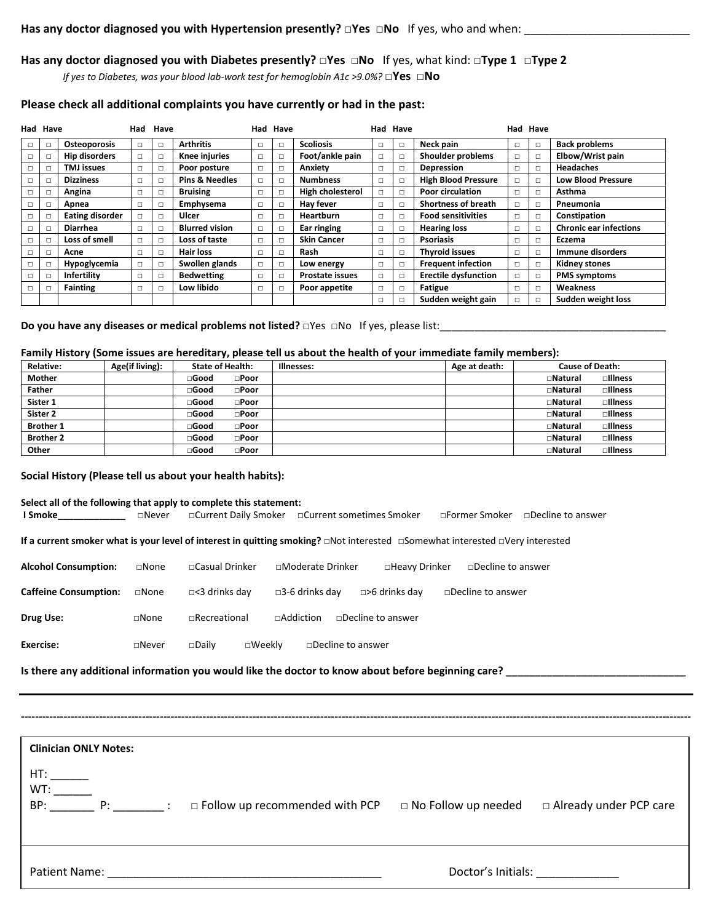## **Has any doctor diagnosed you with Diabetes presently? □Yes □No** If yes, what kind: **□Type 1 □Type 2**

*If yes to Diabetes, was your blood lab-work test for hemoglobin A1c >9.0%?* □Yes □No

## **Please check all additional complaints you have currently or had in the past:**

| Had Have |        |                        | Had | Have   |                           | Had Have |                        |   | Had Have |                             |        | Had Have |                               |
|----------|--------|------------------------|-----|--------|---------------------------|----------|------------------------|---|----------|-----------------------------|--------|----------|-------------------------------|
| □        | □      | <b>Osteoporosis</b>    |     | $\Box$ | <b>Arthritis</b>          | $\Box$   | <b>Scoliosis</b>       |   | $\Box$   | Neck pain                   | □      | $\Box$   | <b>Back problems</b>          |
| П.       | □      | <b>Hip disorders</b>   |     | □      | <b>Knee injuries</b>      | $\Box$   | Foot/ankle pain        | П | □        | Shoulder problems           | П      | □        | Elbow/Wrist pain              |
| $\Box$   | □      | <b>TMJ</b> issues      |     | $\Box$ | Poor posture              | $\Box$   | Anxiety                |   | □        | Depression                  | $\Box$ | □        | <b>Headaches</b>              |
| □        | □      | <b>Dizziness</b>       |     | □      | <b>Pins &amp; Needles</b> | $\Box$   | <b>Numbness</b>        |   | □        | <b>High Blood Pressure</b>  | □      | □        | <b>Low Blood Pressure</b>     |
| п        | □      | Angina                 |     | $\Box$ | <b>Bruising</b>           | $\Box$   | High cholesterol       |   | □        | <b>Poor circulation</b>     | $\Box$ | □        | Asthma                        |
| п        | □      | Apnea                  |     | □      | Emphysema                 | $\Box$   | Hay fever              | п | □        | <b>Shortness of breath</b>  | п      | □        | Pneumonia                     |
| п        | $\Box$ | <b>Eating disorder</b> |     | $\Box$ | Ulcer                     | $\Box$   | <b>Heartburn</b>       | П | □        | <b>Food sensitivities</b>   | П      | □        | Constipation                  |
| П        | □      | <b>Diarrhea</b>        |     | $\Box$ | <b>Blurred vision</b>     | $\Box$   | Ear ringing            | п | □        | <b>Hearing loss</b>         | $\Box$ | □        | <b>Chronic ear infections</b> |
| п        | □      | Loss of smell          |     | $\Box$ | Loss of taste             | $\Box$   | <b>Skin Cancer</b>     | п | □        | <b>Psoriasis</b>            | $\Box$ | □        | Eczema                        |
|          | □      | Acne                   |     | $\Box$ | <b>Hair loss</b>          | $\Box$   | Rash                   |   | □        | <b>Thyroid issues</b>       | □      | □        | Immune disorders              |
| $\Box$   | □      | Hypoglycemia           |     | $\Box$ | Swollen glands            | $\Box$   | Low energy             |   | □        | <b>Frequent infection</b>   | □      | □        | <b>Kidney stones</b>          |
| П.       | □      | Infertility            |     | $\Box$ | <b>Bedwetting</b>         | $\Box$   | <b>Prostate issues</b> | □ | □        | <b>Erectile dysfunction</b> | $\Box$ | $\Box$   | <b>PMS symptoms</b>           |
| п        | □      | <b>Fainting</b>        |     | $\Box$ | Low libido                | $\Box$   | Poor appetite          |   | □        | Fatigue                     | П      | □        | Weakness                      |
|          |        |                        |     |        |                           |          |                        | п | □        | Sudden weight gain          | П      | П        | Sudden weight loss            |

**Do you have any diseases or medical problems not listed?** □Yes □No If yes, please list:\_\_\_\_\_\_\_\_\_\_\_\_\_\_\_\_\_\_\_\_\_\_\_\_\_

#### **Family History (Some issues are hereditary, please tell us about the health of your immediate family members):**

| <b>Relative:</b> | Age(if living): | <b>State of Health:</b>          | Illnesses: | Age at death: | <b>Cause of Death:</b>     |
|------------------|-----------------|----------------------------------|------------|---------------|----------------------------|
| <b>Mother</b>    |                 | $\Box$ Good<br>$\square$ Poor    |            |               | $\Box$ Illness<br>□Natural |
| <b>Father</b>    |                 | ⊟Good<br>$\square$ Poor          |            |               | $\Box$ Illness<br>□Natural |
| Sister 1         |                 | $\Box$ Good<br>$\square$ Poor    |            |               | $\Box$ Illness<br>□Natural |
| Sister 2         |                 | ⊟Good<br>$\square$ Poor          |            |               | $\Box$ Illness<br>□Natural |
| <b>Brother 1</b> |                 | $\square$ Good<br>$\square$ Poor |            |               | $\Box$ Illness<br>□Natural |
| <b>Brother 2</b> |                 | ⊟Good<br>$\square$ Poor          |            |               | $\Box$ Illness<br>□Natural |
| Other            |                 | ⊟Good<br>$\square$ Poor          |            |               | □Natural<br>$\Box$ Illness |

#### **Social History (Please tell us about your health habits):**

### **Select all of the following that apply to complete this statement:**

**I Smoke\_\_\_\_\_\_\_\_\_\_\_\_\_** □Never □Current Daily Smoker □Current sometimes Smoker □Former Smoker □Decline to answer

**If a current smoker what is your level of interest in quitting smoking?** □Not interested □Somewhat interested □Very interested

| <b>Alcohol Consumption:</b>  | $\square$ None  | □Casual Drinker                     | □Moderate Drinker                        | $\square$ Heavy Drinker | □Decline to answer       |
|------------------------------|-----------------|-------------------------------------|------------------------------------------|-------------------------|--------------------------|
| <b>Caffeine Consumption:</b> | $\sqcap$ None   | $\Box$ <3 drinks day                | $\Box$ 3-6 drinks dav                    | $\Box$ >6 drinks dav    | $\Box$ Decline to answer |
| Drug Use:                    | $\sqcap$ None   | $\Box$ Recreational                 | $\sqcap$ Addiction<br>□Decline to answer |                         |                          |
| Exercise:                    | $\square$ Never | $\square$ Daily<br>$\square$ Weekly | $\Box$ Decline to answer                 |                         |                          |

**Is there any additional information you would like the doctor to know about before beginning care? \_\_\_\_\_\_\_\_\_\_\_\_\_\_\_\_\_\_\_\_\_\_\_\_\_\_\_\_\_\_\_**

**Clinician ONLY Notes:**  $HT:$  $WT:$ BP:  $\frac{1}{\sqrt{1-\frac{1}{\sqrt{1-\frac{1}{\sqrt{1-\frac{1}{\sqrt{1-\frac{1}{\sqrt{1-\frac{1}{\sqrt{1-\frac{1}{\sqrt{1-\frac{1}{\sqrt{1-\frac{1}{\sqrt{1-\frac{1}{\sqrt{1-\frac{1}{\sqrt{1-\frac{1}{\sqrt{1-\frac{1}{\sqrt{1-\frac{1}{\sqrt{1-\frac{1}{\sqrt{1-\frac{1}{\sqrt{1-\frac{1}{\sqrt{1-\frac{1}{\sqrt{1-\frac{1}{\sqrt{1-\frac{1}{\sqrt{1-\frac{1}{\sqrt{1-\frac{1}{\sqrt{1-\frac{1}{\sqrt{1-\frac{1}{\sqrt{1$ Patient Name: \_\_\_\_\_\_\_\_\_\_\_\_\_\_\_\_\_\_\_\_\_\_\_\_\_\_\_\_\_\_\_\_\_\_\_\_\_\_\_\_\_\_\_ Doctor's Initials: \_\_\_\_\_\_\_\_\_\_\_\_\_

**--------------------------------------------------------------------------------------------------------------------------------------------------------------------------------------------**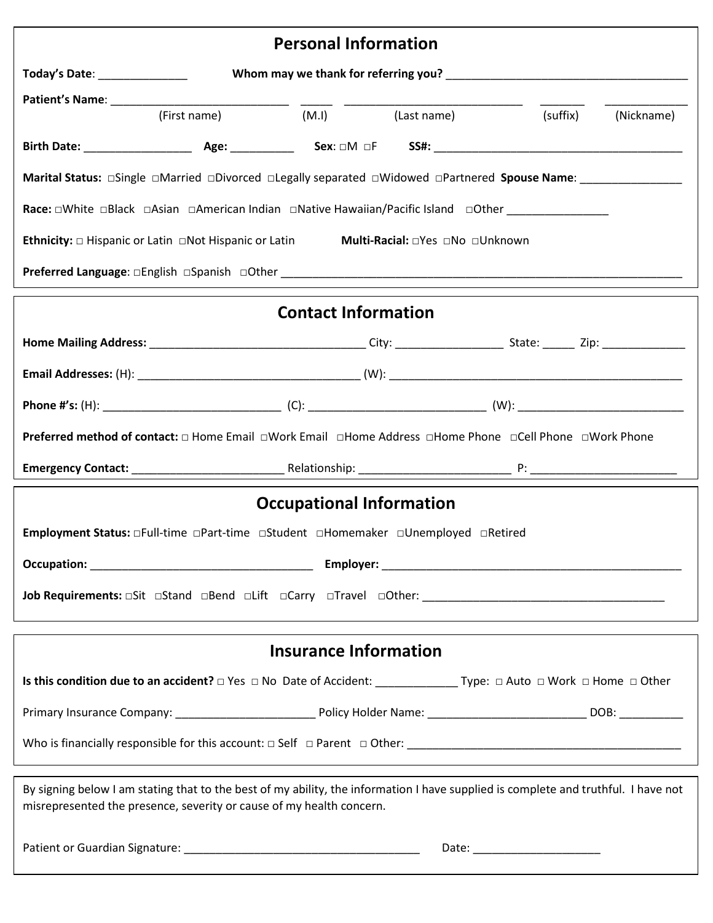| <b>Personal Information</b>   |                                                                                                                                                                                                            |                              |                                    |             |  |  |  |  |  |
|-------------------------------|------------------------------------------------------------------------------------------------------------------------------------------------------------------------------------------------------------|------------------------------|------------------------------------|-------------|--|--|--|--|--|
| Today's Date: _______________ |                                                                                                                                                                                                            |                              |                                    |             |  |  |  |  |  |
| Patient's Name: Name          | $\frac{1}{(First name)}$ $\frac{1}{(M.l)}$ $\frac{1}{(Last name)}$ $\frac{1}{(suffix)}$ $\frac{1}{(Nickname)}$ $\frac{1}{(Nickname)}$                                                                      |                              |                                    |             |  |  |  |  |  |
|                               |                                                                                                                                                                                                            |                              |                                    |             |  |  |  |  |  |
|                               |                                                                                                                                                                                                            |                              |                                    |             |  |  |  |  |  |
|                               | Marital Status: □Single □Married □Divorced □Legally separated □Widowed □Partnered Spouse Name: _______________                                                                                             |                              |                                    |             |  |  |  |  |  |
|                               |                                                                                                                                                                                                            |                              |                                    |             |  |  |  |  |  |
|                               | <b>Ethnicity:</b> $\Box$ Hispanic or Latin $\Box$ Not Hispanic or Latin                                                                                                                                    |                              | Multi-Racial: □ Yes □ No □ Unknown |             |  |  |  |  |  |
|                               |                                                                                                                                                                                                            |                              |                                    |             |  |  |  |  |  |
|                               |                                                                                                                                                                                                            | <b>Contact Information</b>   |                                    |             |  |  |  |  |  |
|                               |                                                                                                                                                                                                            |                              |                                    |             |  |  |  |  |  |
|                               |                                                                                                                                                                                                            |                              |                                    |             |  |  |  |  |  |
|                               |                                                                                                                                                                                                            |                              |                                    |             |  |  |  |  |  |
|                               | <b>Preferred method of contact:</b> □ Home Email □Work Email □Home Address □Home Phone □Cell Phone □Work Phone                                                                                             |                              |                                    |             |  |  |  |  |  |
|                               |                                                                                                                                                                                                            |                              |                                    |             |  |  |  |  |  |
|                               |                                                                                                                                                                                                            |                              | <b>Occupational Information</b>    |             |  |  |  |  |  |
|                               | Employment Status: □Full-time □Part-time □Student □Homemaker □Unemployed □Retired                                                                                                                          |                              |                                    |             |  |  |  |  |  |
|                               |                                                                                                                                                                                                            |                              |                                    |             |  |  |  |  |  |
|                               | <b>Job Requirements:</b> $\Box$ Sit $\Box$ Stand $\Box$ Bend $\Box$ Lift $\Box$ Carry $\Box$ Travel $\Box$ Other:                                                                                          |                              |                                    |             |  |  |  |  |  |
|                               |                                                                                                                                                                                                            | <b>Insurance Information</b> |                                    |             |  |  |  |  |  |
|                               |                                                                                                                                                                                                            |                              |                                    |             |  |  |  |  |  |
|                               |                                                                                                                                                                                                            |                              |                                    |             |  |  |  |  |  |
|                               |                                                                                                                                                                                                            |                              |                                    |             |  |  |  |  |  |
|                               | By signing below I am stating that to the best of my ability, the information I have supplied is complete and truthful. I have not<br>misrepresented the presence, severity or cause of my health concern. |                              |                                    |             |  |  |  |  |  |
|                               |                                                                                                                                                                                                            |                              |                                    | Date: Date: |  |  |  |  |  |
|                               |                                                                                                                                                                                                            |                              |                                    |             |  |  |  |  |  |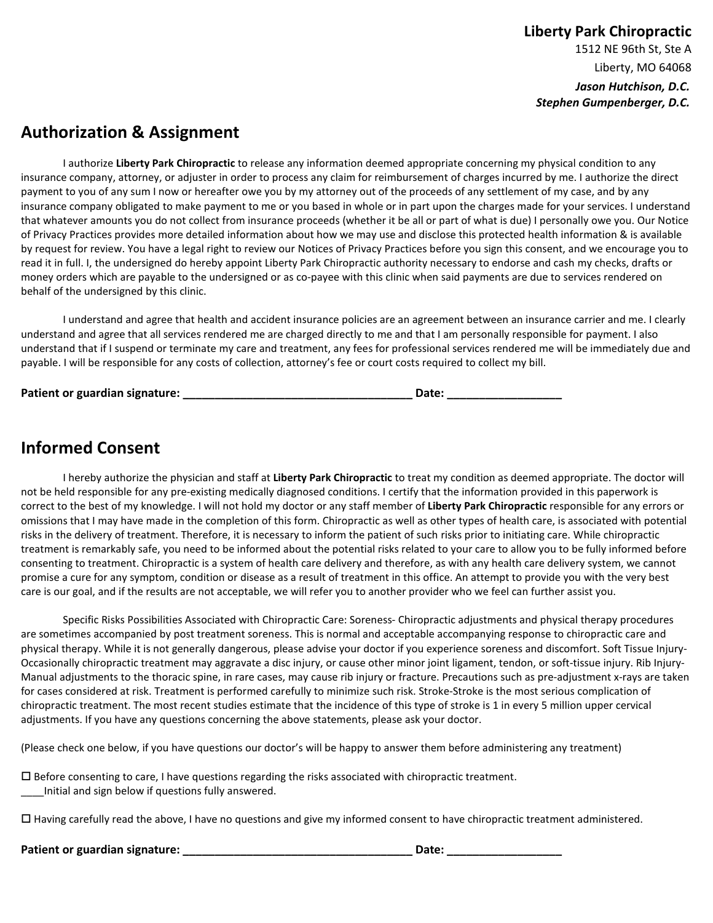Liberty, MO 64068 *Jason Hutchison, D.C. Stephen Gumpenberger, D.C.*

# **Authorization & Assignment**

I authorize **Liberty Park Chiropractic** to release any information deemed appropriate concerning my physical condition to any insurance company, attorney, or adjuster in order to process any claim for reimbursement of charges incurred by me. I authorize the direct payment to you of any sum I now or hereafter owe you by my attorney out of the proceeds of any settlement of my case, and by any insurance company obligated to make payment to me or you based in whole or in part upon the charges made for your services. I understand that whatever amounts you do not collect from insurance proceeds (whether it be all or part of what is due) I personally owe you. Our Notice of Privacy Practices provides more detailed information about how we may use and disclose this protected health information & is available by request for review. You have a legal right to review our Notices of Privacy Practices before you sign this consent, and we encourage you to read it in full. I, the undersigned do hereby appoint Liberty Park Chiropractic authority necessary to endorse and cash my checks, drafts or money orders which are payable to the undersigned or as co-payee with this clinic when said payments are due to services rendered on behalf of the undersigned by this clinic.

I understand and agree that health and accident insurance policies are an agreement between an insurance carrier and me. I clearly understand and agree that all services rendered me are charged directly to me and that I am personally responsible for payment. I also understand that if I suspend or terminate my care and treatment, any fees for professional services rendered me will be immediately due and payable. I will be responsible for any costs of collection, attorney's fee or court costs required to collect my bill.

| Patient or guardian signature: | Date: |
|--------------------------------|-------|
|                                |       |

# **Informed Consent**

I hereby authorize the physician and staff at **Liberty Park Chiropractic** to treat my condition as deemed appropriate. The doctor will not be held responsible for any pre-existing medically diagnosed conditions. I certify that the information provided in this paperwork is correct to the best of my knowledge. I will not hold my doctor or any staff member of **Liberty Park Chiropractic** responsible for any errors or omissions that I may have made in the completion of this form. Chiropractic as well as other types of health care, is associated with potential risks in the delivery of treatment. Therefore, it is necessary to inform the patient of such risks prior to initiating care. While chiropractic treatment is remarkably safe, you need to be informed about the potential risks related to your care to allow you to be fully informed before consenting to treatment. Chiropractic is a system of health care delivery and therefore, as with any health care delivery system, we cannot promise a cure for any symptom, condition or disease as a result of treatment in this office. An attempt to provide you with the very best care is our goal, and if the results are not acceptable, we will refer you to another provider who we feel can further assist you.

Specific Risks Possibilities Associated with Chiropractic Care: Soreness- Chiropractic adjustments and physical therapy procedures are sometimes accompanied by post treatment soreness. This is normal and acceptable accompanying response to chiropractic care and physical therapy. While it is not generally dangerous, please advise your doctor if you experience soreness and discomfort. Soft Tissue Injury-Occasionally chiropractic treatment may aggravate a disc injury, or cause other minor joint ligament, tendon, or soft-tissue injury. Rib Injury-Manual adjustments to the thoracic spine, in rare cases, may cause rib injury or fracture. Precautions such as pre-adjustment x-rays are taken for cases considered at risk. Treatment is performed carefully to minimize such risk. Stroke-Stroke is the most serious complication of chiropractic treatment. The most recent studies estimate that the incidence of this type of stroke is 1 in every 5 million upper cervical adjustments. If you have any questions concerning the above statements, please ask your doctor.

(Please check one below, if you have questions our doctor's will be happy to answer them before administering any treatment)

 $\square$  Before consenting to care, I have questions regarding the risks associated with chiropractic treatment. \_\_\_\_Initial and sign below if questions fully answered.

Having carefully read the above, I have no questions and give my informed consent to have chiropractic treatment administered.

**Patient or guardian signature: \_\_\_\_\_\_\_\_\_\_\_\_\_\_\_\_\_\_\_\_\_\_\_\_\_\_\_\_\_\_\_\_\_\_\_\_ Date: \_\_\_\_\_\_\_\_\_\_\_\_\_\_\_\_\_\_**